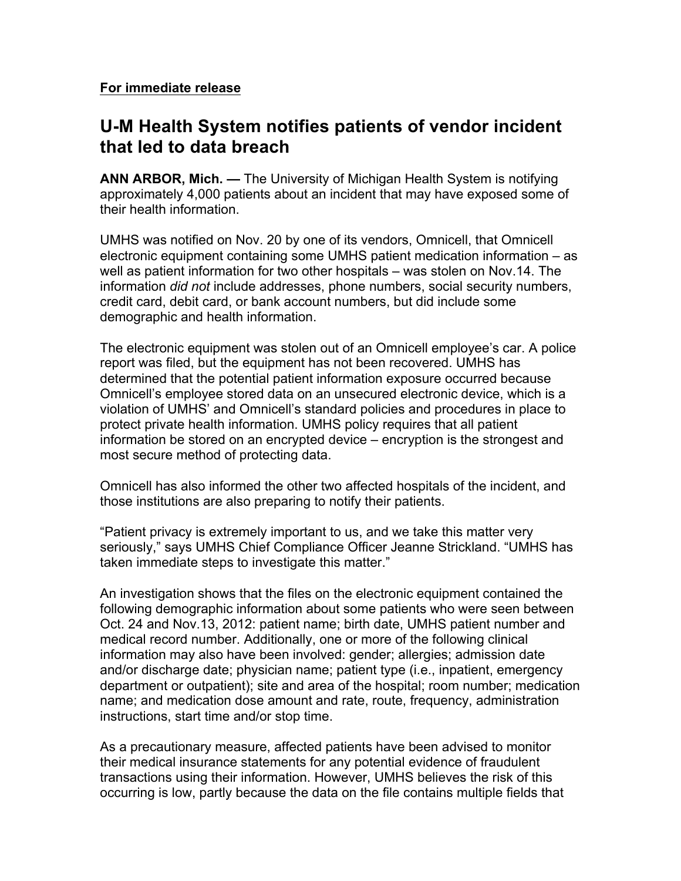**For immediate release**

## **U-M Health System notifies patients of vendor incident that led to data breach**

**ANN ARBOR, Mich. —** The University of Michigan Health System is notifying approximately 4,000 patients about an incident that may have exposed some of their health information.

UMHS was notified on Nov. 20 by one of its vendors, Omnicell, that Omnicell electronic equipment containing some UMHS patient medication information – as well as patient information for two other hospitals – was stolen on Nov.14. The information *did not* include addresses, phone numbers, social security numbers, credit card, debit card, or bank account numbers, but did include some demographic and health information.

The electronic equipment was stolen out of an Omnicell employee's car. A police report was filed, but the equipment has not been recovered. UMHS has determined that the potential patient information exposure occurred because Omnicell's employee stored data on an unsecured electronic device, which is a violation of UMHS' and Omnicell's standard policies and procedures in place to protect private health information. UMHS policy requires that all patient information be stored on an encrypted device – encryption is the strongest and most secure method of protecting data.

Omnicell has also informed the other two affected hospitals of the incident, and those institutions are also preparing to notify their patients.

"Patient privacy is extremely important to us, and we take this matter very seriously," says UMHS Chief Compliance Officer Jeanne Strickland. "UMHS has taken immediate steps to investigate this matter."

An investigation shows that the files on the electronic equipment contained the following demographic information about some patients who were seen between Oct. 24 and Nov.13, 2012: patient name; birth date, UMHS patient number and medical record number. Additionally, one or more of the following clinical information may also have been involved: gender; allergies; admission date and/or discharge date; physician name; patient type (i.e., inpatient, emergency department or outpatient); site and area of the hospital; room number; medication name; and medication dose amount and rate, route, frequency, administration instructions, start time and/or stop time.

As a precautionary measure, affected patients have been advised to monitor their medical insurance statements for any potential evidence of fraudulent transactions using their information. However, UMHS believes the risk of this occurring is low, partly because the data on the file contains multiple fields that